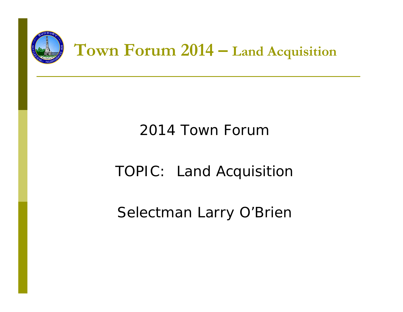

### 2014 Town Forum

### TOPIC: Land Acquisition

Selectman Larry O'Brien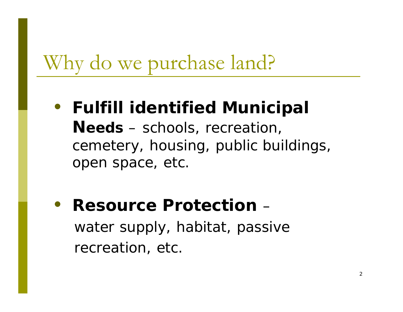## Why do we purchase land?

- $\bullet$  **Fulfill identified Municipal Needs** – schools, recreation, cemetery, housing, public buildings, open space, etc.
- $\bullet$ **• Resource Protection –** water supply, habitat, passive recreation, etc.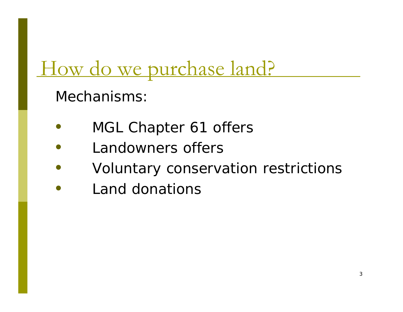### How do we purchase land?

Mechanisms:

- $\bullet$ MGL Chapter 61 offers
- $\bullet$ Landowners offers
- $\bullet$ Voluntary conservation restrictions
- $\bullet$ Land donations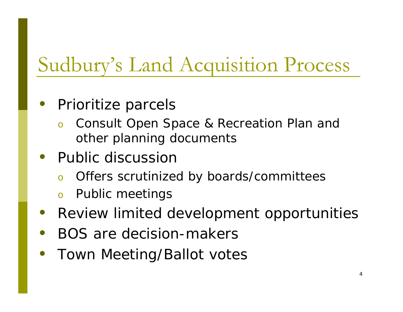## Sudbury's Land Acquisition Process

#### $\bullet$ Prioritize parcels

- o Consult Open Space & Recreation Plan and other planning documents
- Public discussion
	- oOffers scrutinized by boards/committees
	- oPublic meetings
- $\bullet$ Review limited development opportunities
- $\bullet$ BOS are decision-makers
- $\bullet$ Town Meeting/Ballot votes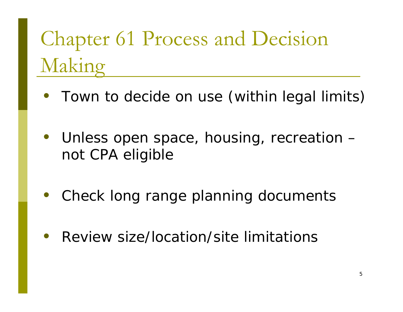# Chapter 61 Process and Decision Making

- Town to decide on use (within legal limits)
- $\bullet$  Unless open space, housing, recreation – not CPA eligible
- $\bullet$ Check long range planning documents
- $\bullet$ Review size/location/site limitations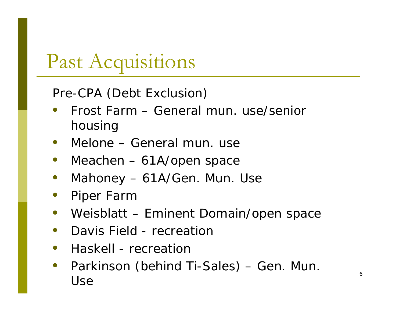### Past Acquisitions

Pre-CPA (Debt Exclusion)

- $\bullet$  Frost Farm – General mun. use/senior housing
- $\bullet$ Melone – General mun. use
- $\bullet$ Meachen – 61A/open space
- $\bullet$ Mahoney – 61A/Gen. Mun. Use
- $\bullet$ Piper Farm
- $\bullet$ Weisblatt – Eminent Domain/open space
- $\bullet$ Davis Field - recreation
- $\bullet$ • Haskell - recreation
- $\bullet$  Parkinson (behind Ti-Sales) – Gen. Mun. Use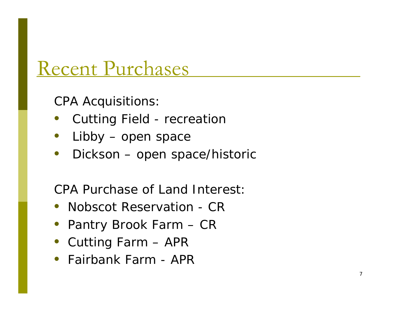### Recent Purchases

CPA Acquisitions:

- $\bullet$ Cutting Field - recreation
- $\bullet$ Libby – open space
- $\bullet$ Dickson – open space/historic

CPA Purchase of Land Interest:

- Nobscot Reservation CR
- Pantry Brook Farm CR
- Cutting Farm APR
- Fairbank Farm APR